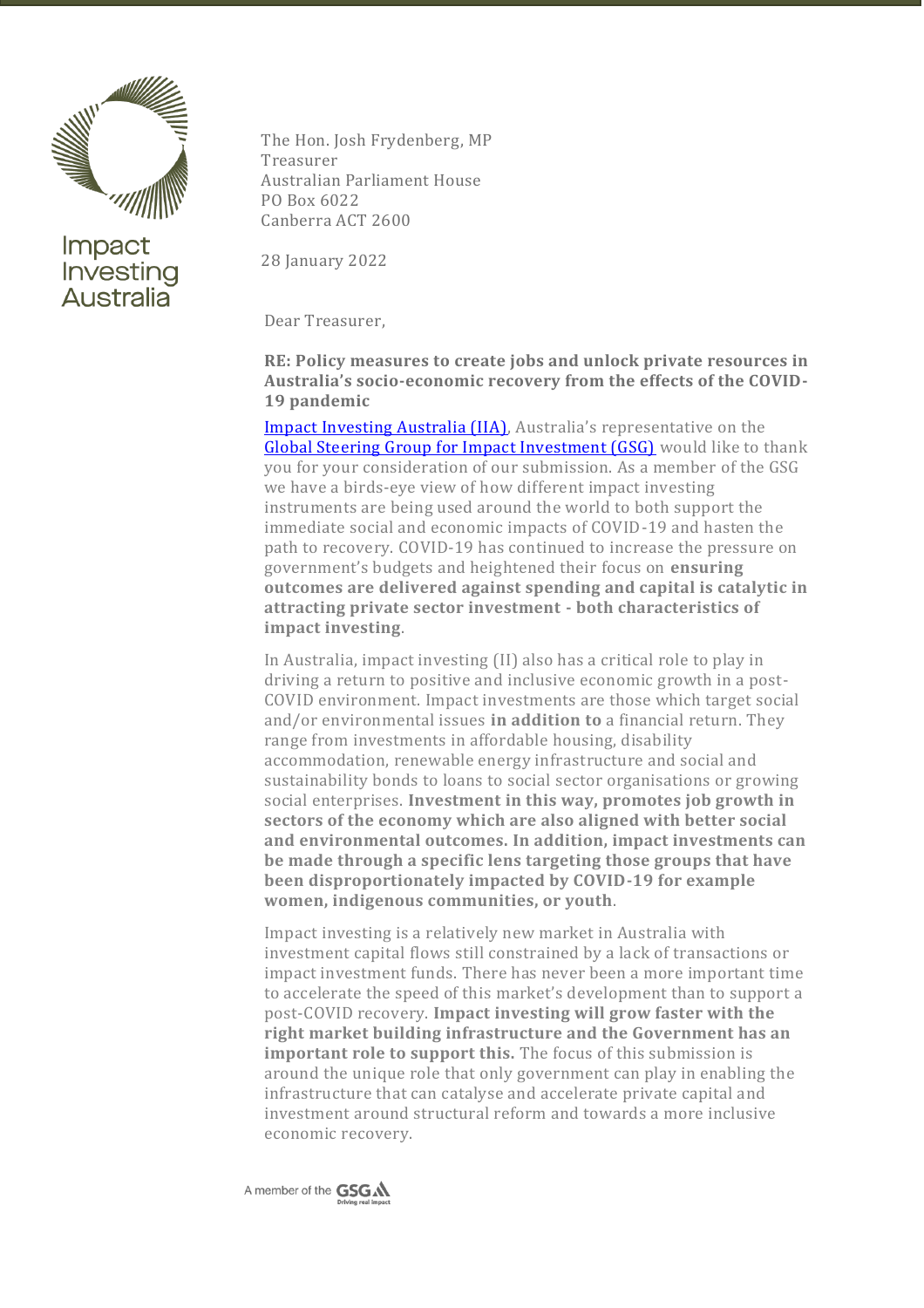

Impact Investing Australia

The Hon. Josh Frydenberg, MP Treasurer Australian Parliament House PO Box 6022 Canberra ACT 2600

28 January 2022

Dear Treasurer,

**RE: Policy measures to create jobs and unlock private resources in Australia's socio-economic recovery from the effects of the COVID-19 pandemic** 

[Impact Investing Australia \(IIA\)](https://impactinvestingaustralia.com/about/), Australia's representative on the [Global Steering Group for Impact Investment \(GSG\)](https://gsgii.org/about-us/) would like to thank you for your consideration of our submission. As a member of the GSG we have a birds-eye view of how different impact investing instruments are being used around the world to both support the immediate social and economic impacts of COVID-19 and hasten the path to recovery. COVID-19 has continued to increase the pressure on government's budgets and heightened their focus on **ensuring outcomes are delivered against spending and capital is catalytic in attracting private sector investment - both characteristics of impact investing**.

In Australia, impact investing (II) also has a critical role to play in driving a return to positive and inclusive economic growth in a post-COVID environment. Impact investments are those which target social and/or environmental issues **in addition to** a financial return. They range from investments in affordable housing, disability accommodation, renewable energy infrastructure and social and sustainability bonds to loans to social sector organisations or growing social enterprises. **Investment in this way, promotes job growth in sectors of the economy which are also aligned with better social and environmental outcomes. In addition, impact investments can be made through a specific lens targeting those groups that have been disproportionately impacted by COVID-19 for example women, indigenous communities, or youth**.

Impact investing is a relatively new market in Australia with investment capital flows still constrained by a lack of transactions or impact investment funds. There has never been a more important time to accelerate the speed of this market's development than to support a post-COVID recovery. **Impact investing will grow faster with the right market building infrastructure and the Government has an important role to support this.** The focus of this submission is around the unique role that only government can play in enabling the infrastructure that can catalyse and accelerate private capital and investment around structural reform and towards a more inclusive economic recovery.

A member of the GSG.N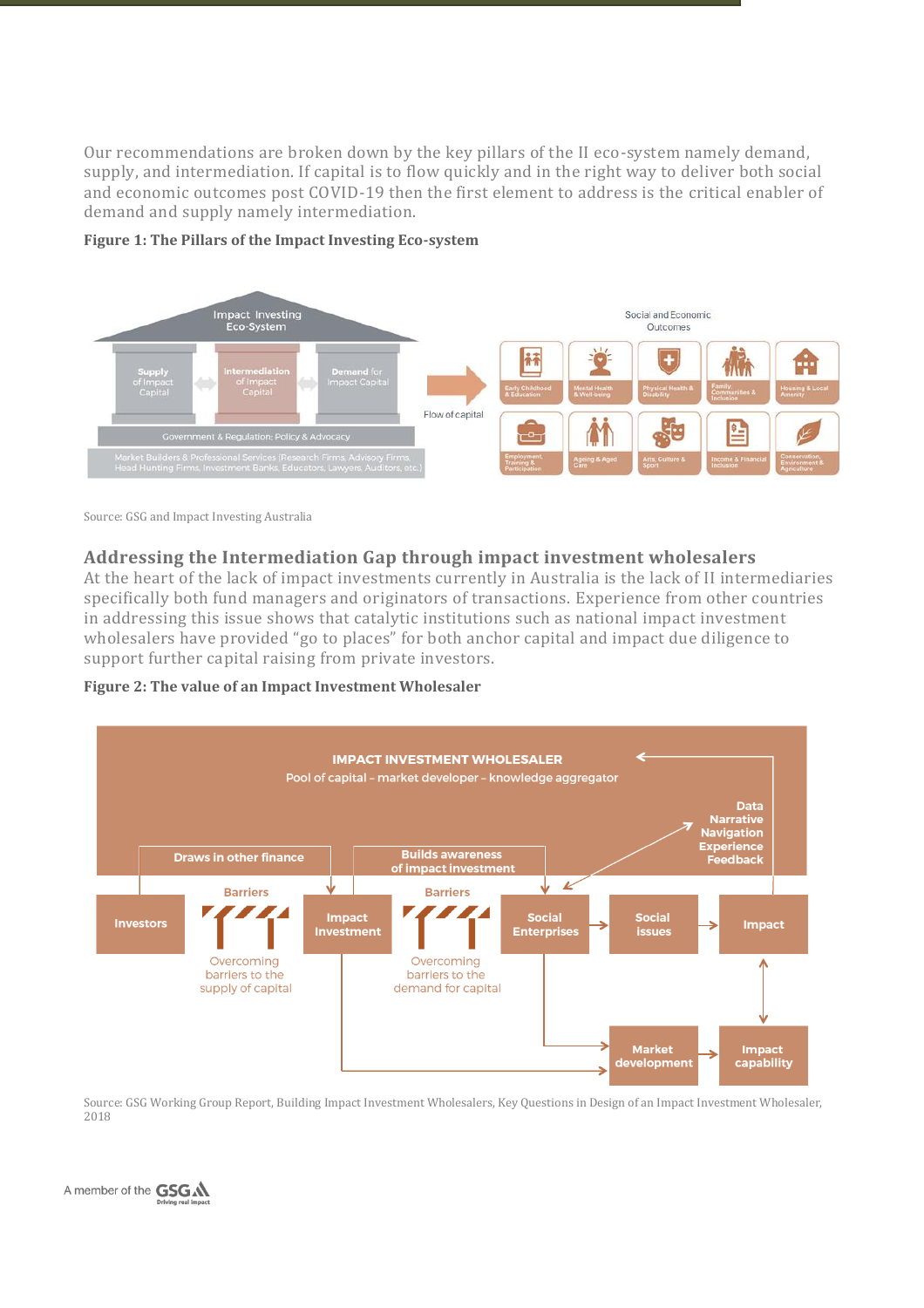Our recommendations are broken down by the key pillars of the II eco-system namely demand, supply, and intermediation. If capital is to flow quickly and in the right way to deliver both social and economic outcomes post COVID-19 then the first element to address is the critical enabler of demand and supply namely intermediation.



### **Figure 1: The Pillars of the Impact Investing Eco-system**

Source: GSG and Impact Investing Australia

## **Addressing the Intermediation Gap through impact investment wholesalers**

At the heart of the lack of impact investments currently in Australia is the lack of II intermediaries specifically both fund managers and originators of transactions. Experience from other countries in addressing this issue shows that catalytic institutions such as national impact investment wholesalers have provided "go to places" for both anchor capital and impact due diligence to support further capital raising from private investors.

### **Figure 2: The value of an Impact Investment Wholesaler**



Source: GSG Working Group Report, Building Impact Investment Wholesalers, Key Questions in Design of an Impact Investment Wholesaler, 2018

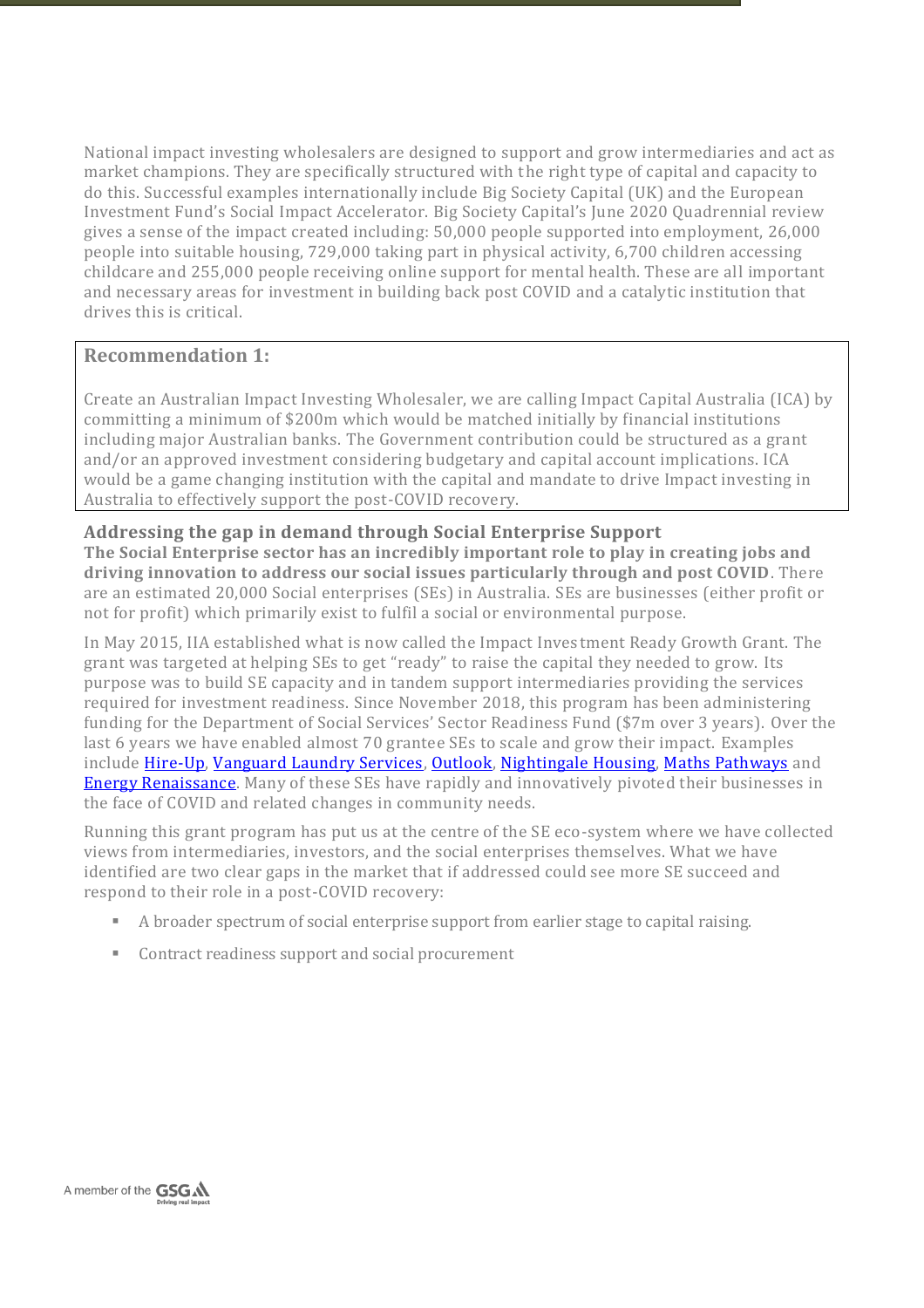National impact investing wholesalers are designed to support and grow intermediaries and act as market champions. They are specifically structured with the right type of capital and capacity to do this. Successful examples internationally include Big Society Capital (UK) and the European Investment Fund's Social Impact Accelerator. Big Society Capital's June 2020 Quadrennial review gives a sense of the impact created including: 50,000 people supported into employment, 26,000 people into suitable housing, 729,000 taking part in physical activity, 6,700 children accessing childcare and 255,000 people receiving online support for mental health. These are all important and necessary areas for investment in building back post COVID and a catalytic institution that drives this is critical.

## **Recommendation 1:**

Create an Australian Impact Investing Wholesaler, we are calling Impact Capital Australia (ICA) by committing a minimum of \$200m which would be matched initially by financial institutions including major Australian banks. The Government contribution could be structured as a grant and/or an approved investment considering budgetary and capital account implications. ICA would be a game changing institution with the capital and mandate to drive Impact investing in Australia to effectively support the post-COVID recovery.

# **Addressing the gap in demand through Social Enterprise Support**

**The Social Enterprise sector has an incredibly important role to play in creating jobs and driving innovation to address our social issues particularly through and post COVID**. There are an estimated 20,000 Social enterprises (SEs) in Australia. SEs are businesses (either profit or not for profit) which primarily exist to fulfil a social or environmental purpose.

In May 2015, IIA established what is now called the Impact Investment Ready Growth Grant. The grant was targeted at helping SEs to get "ready" to raise the capital they needed to grow. Its purpose was to build SE capacity and in tandem support intermediaries providing the services required for investment readiness. Since November 2018, this program has been administering funding for the Department of Social Services' Sector Readiness Fund (\$7m over 3 years). Over the last 6 years we have enabled almost 70 grantee SEs to scale and grow their impact. Examples include [Hire-Up,](https://hireup.com.au/) [Vanguard Laundry Services,](http://www.vanguardlaundryservices.com.au/) [Outlook,](https://www.outlookvic.org.au/about-outlook) [Nightingale Housing,](https://nightingalehousing.org/) [Maths Pathways](https://mathspathway.com/) and [Energy Renaissance.](https://renaissanceone.com.au/) Many of these SEs have rapidly and innovatively pivoted their businesses in the face of COVID and related changes in community needs.

Running this grant program has put us at the centre of the SE eco-system where we have collected views from intermediaries, investors, and the social enterprises themselves. What we have identified are two clear gaps in the market that if addressed could see more SE succeed and respond to their role in a post-COVID recovery:

- A broader spectrum of social enterprise support from earlier stage to capital raising.
- Contract readiness support and social procurement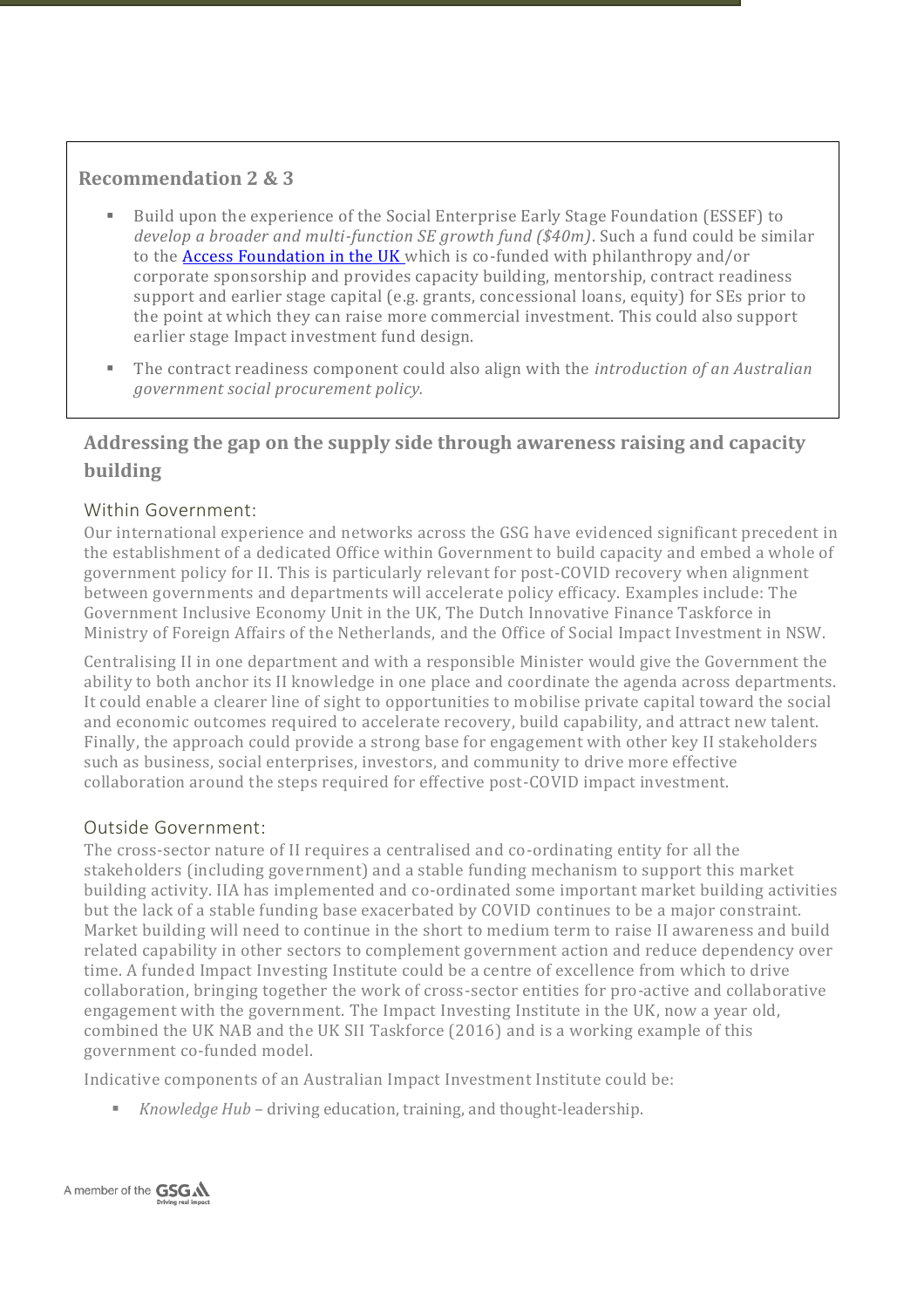## **Recommendation 2 & 3**

- Build upon the experience of the Social Enterprise Early Stage Foundation (ESSEF) to *develop a broader and multi-function SE growth fund (\$40m)*. Such a fund could be similar to the [Access Foundation in the UK](https://access-socialinvestment.org.uk/) which is co-funded with philanthropy and/or corporate sponsorship and provides capacity building, mentorship, contract readiness support and earlier stage capital (e.g. grants, concessional loans, equity) for SEs prior to the point at which they can raise more commercial investment. This could also support earlier stage Impact investment fund design.
- The contract readiness component could also align with the *introduction of an Australian government social procurement policy.*

# **Addressing the gap on the supply side through awareness raising and capacity building**

## Within Government:

Our international experience and networks across the GSG have evidenced significant precedent in the establishment of a dedicated Office within Government to build capacity and embed a whole of government policy for II. This is particularly relevant for post-COVID recovery when alignment between governments and departments will accelerate policy efficacy. Examples include: The Government Inclusive Economy Unit in the UK, The Dutch Innovative Finance Taskforce in Ministry of Foreign Affairs of the Netherlands, and the Office of Social Impact Investment in NSW.

Centralising II in one department and with a responsible Minister would give the Government the ability to both anchor its II knowledge in one place and coordinate the agenda across departments. It could enable a clearer line of sight to opportunities to mobilise private capital toward the social and economic outcomes required to accelerate recovery, build capability, and attract new talent. Finally, the approach could provide a strong base for engagement with other key II stakeholders such as business, social enterprises, investors, and community to drive more effective collaboration around the steps required for effective post-COVID impact investment.

## Outside Government:

The cross-sector nature of II requires a centralised and co-ordinating entity for all the stakeholders (including government) and a stable funding mechanism to support this market building activity. IIA has implemented and co-ordinated some important market building activities but the lack of a stable funding base exacerbated by COVID continues to be a major constraint. Market building will need to continue in the short to medium term to raise II awareness and build related capability in other sectors to complement government action and reduce dependency over time. A funded Impact Investing Institute could be a centre of excellence from which to drive collaboration, bringing together the work of cross-sector entities for pro-active and collaborative engagement with the government. The Impact Investing Institute in the UK, now a year old, combined the UK NAB and the UK SII Taskforce (2016) and is a working example of this government co-funded model.

Indicative components of an Australian Impact Investment Institute could be:

■ *Knowledge Hub* – driving education, training, and thought-leadership.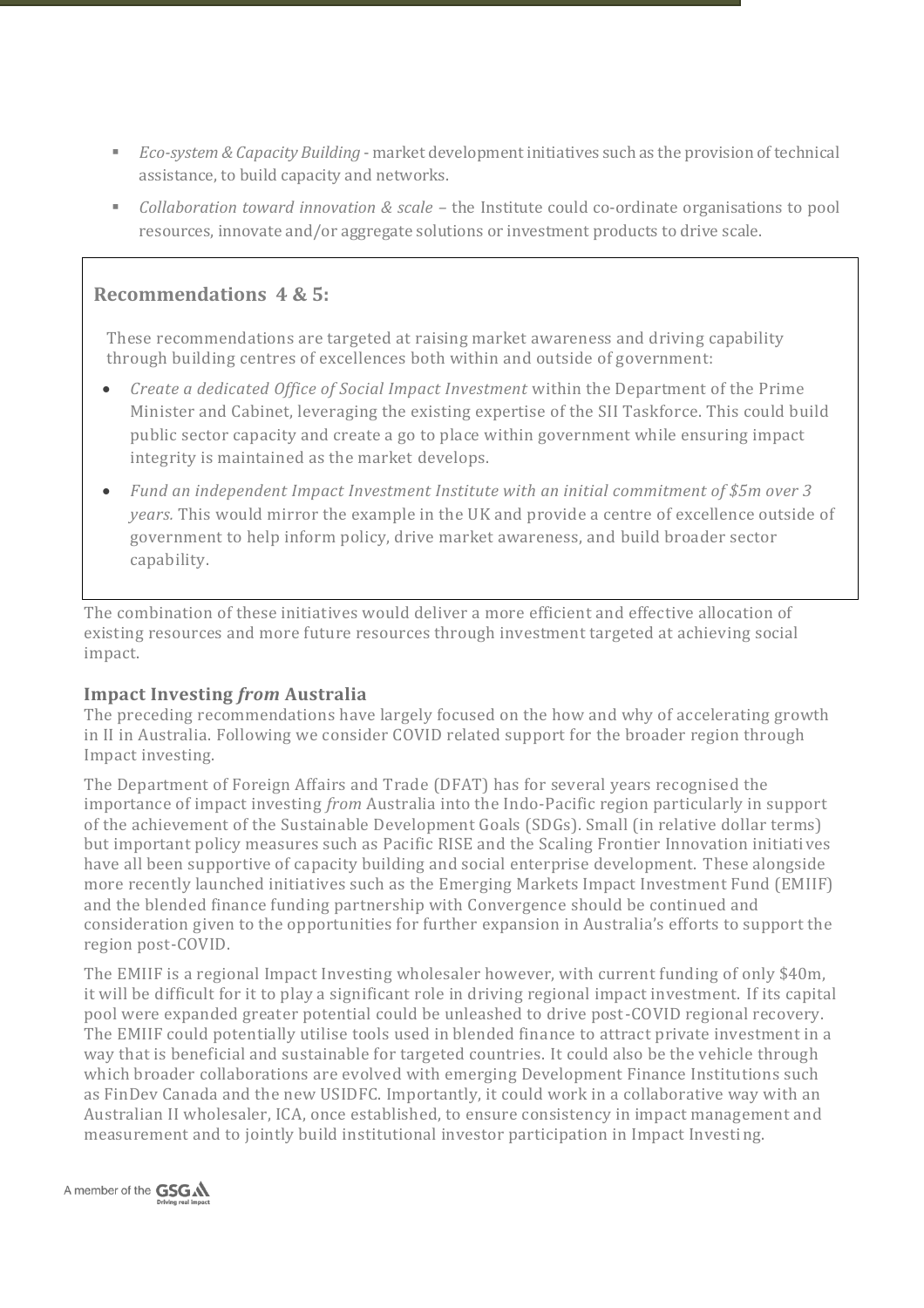- *Eco-system & Capacity Building* market development initiatives such as the provision of technical assistance, to build capacity and networks.
- *Collaboration toward innovation & scale –* the Institute could co-ordinate organisations to pool resources, innovate and/or aggregate solutions or investment products to drive scale.

## **Recommendations 4 & 5:**

These recommendations are targeted at raising market awareness and driving capability through building centres of excellences both within and outside of government:

- *Create a dedicated Office of Social Impact Investment* within the Department of the Prime Minister and Cabinet, leveraging the existing expertise of the SII Taskforce. This could build public sector capacity and create a go to place within government while ensuring impact integrity is maintained as the market develops.
- *Fund an independent Impact Investment Institute with an initial commitment of \$5m over 3 years.* This would mirror the example in the UK and provide a centre of excellence outside of government to help inform policy, drive market awareness, and build broader sector capability.

The combination of these initiatives would deliver a more efficient and effective allocation of existing resources and more future resources through investment targeted at achieving social impact.

## **Impact Investing** *from* **Australia**

The preceding recommendations have largely focused on the how and why of accelerating growth in II in Australia. Following we consider COVID related support for the broader region through Impact investing.

The Department of Foreign Affairs and Trade (DFAT) has for several years recognised the importance of impact investing *from* Australia into the Indo-Pacific region particularly in support of the achievement of the Sustainable Development Goals (SDGs). Small (in relative dollar terms) but important policy measures such as Pacific RISE and the Scaling Frontier Innovation initiati ves have all been supportive of capacity building and social enterprise development. These alongside more recently launched initiatives such as the Emerging Markets Impact Investment Fund (EMIIF) and the blended finance funding partnership with Convergence should be continued and consideration given to the opportunities for further expansion in Australia's efforts to support the region post-COVID.

The EMIIF is a regional Impact Investing wholesaler however, with current funding of only \$40m, it will be difficult for it to play a significant role in driving regional impact investment. If its capital pool were expanded greater potential could be unleashed to drive post-COVID regional recovery. The EMIIF could potentially utilise tools used in blended finance to attract private investment in a way that is beneficial and sustainable for targeted countries. It could also be the vehicle through which broader collaborations are evolved with emerging Development Finance Institutions such as FinDev Canada and the new USIDFC. Importantly, it could work in a collaborative way with an Australian II wholesaler, ICA, once established, to ensure consistency in impact management and measurement and to jointly build institutional investor participation in Impact Investing.